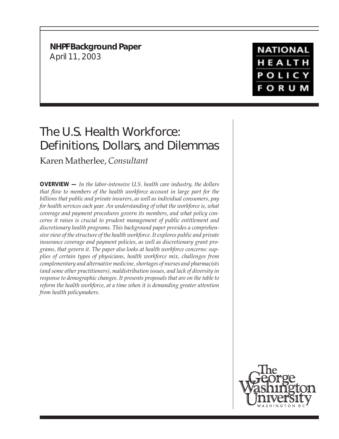**NHPF Background Paper** April 11, 2003

**NATIONAL** HEALTH **POLICY FORUM** 

# The U.S. Health Workforce: Definitions, Dollars, and Dilemmas

Karen Matherlee, *Consultant*

**OVERVIEW —** *In the labor-intensive U.S. health care industry, the dollars that flow to members of the health workforce account in large part for the billions that public and private insurers, as well as individual consumers, pay for health services each year. An understanding of what the workforce is, what coverage and payment procedures govern its members, and what policy concerns it raises is crucial to prudent management of public entitlement and discretionary health programs. This background paper provides a comprehensive view of the structure of the health workforce. It explores public and private insurance coverage and payment policies, as well as discretionary grant programs, that govern it. The paper also looks at health workforce concerns: supplies of certain types of physicians, health workforce mix, challenges from complementary and alternative medicine, shortages of nurses and pharmacists (and some other practitioners), maldistribution issues, and lack of diversity in response to demographic changes. It presents proposals that are on the table to reform the health workforce, at a time when it is demanding greater attention from health policymakers.*

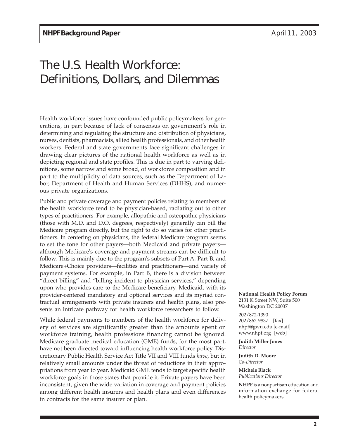# The U.S. Health Workforce: Definitions, Dollars, and Dilemmas

Health workforce issues have confounded public policymakers for generations, in part because of lack of consensus on government's role in determining and regulating the structure and distribution of physicians, nurses, dentists, pharmacists, allied health professionals, and other health workers. Federal and state governments face significant challenges in drawing clear pictures of the national health workforce as well as in depicting regional and state profiles. This is due in part to varying definitions, some narrow and some broad, of workforce composition and in part to the multiplicity of data sources, such as the Department of Labor, Department of Health and Human Services (DHHS), and numerous private organizations.

Public and private coverage and payment policies relating to members of the health workforce tend to be physician-based, radiating out to other types of practitioners. For example, allopathic and osteopathic physicians (those with M.D. and D.O. degrees, respectively) generally can bill the Medicare program directly, but the right to do so varies for other practitioners. In centering on physicians, the federal Medicare program seems to set the tone for other payers—both Medicaid and private payers although Medicare's coverage and payment streams can be difficult to follow. This is mainly due to the program's subsets of Part A, Part B, and Medicare+Choice providers—facilities and practitioners—and variety of payment systems. For example, in Part B, there is a division between "direct billing" and "billing incident to physician services," depending upon who provides care to the Medicare beneficiary. Medicaid, with its provider-centered mandatory and optional services and its myriad contractual arrangements with private insurers and health plans, also presents an intricate pathway for health workforce researchers to follow.

While federal payments to members of the health workforce for delivery of services are significantly greater than the amounts spent on workforce training, health professions financing cannot be ignored. Medicare graduate medical education (GME) funds, for the most part, have not been directed toward influencing health workforce policy. Discretionary Public Health Service Act Title VII and VIII funds *have*, but in relatively small amounts under the threat of reductions in their appropriations from year to year. Medicaid GME tends to target specific health workforce goals in those states that provide it. Private payers have been inconsistent, given the wide variation in coverage and payment policies among different health insurers and health plans and even differences in contracts for the same insurer or plan.

**National Health Policy Forum** 2131 K Street NW, Suite 500 Washington DC 20037

202/872-1390 202/862-9837 [fax] nhpf@gwu.edu [e-mail] www.nhpf.org [web]

**Judith Miller Jones** *Director*

**Judith D. Moore** *Co-Director*

**Michele Black** *Publications Director*

**NHPF** is a nonpartisan education and information exchange for federal health policymakers.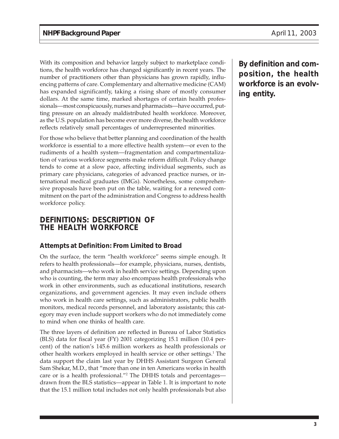With its composition and behavior largely subject to marketplace conditions, the health workforce has changed significantly in recent years. The number of practitioners other than physicians has grown rapidly, influencing patterns of care. Complementary and alternative medicine (CAM) has expanded significantly, taking a rising share of mostly consumer dollars. At the same time, marked shortages of certain health professionals—most conspicuously, nurses and pharmacists—have occurred, putting pressure on an already maldistributed health workforce. Moreover, as the U.S. population has become ever more diverse, the health workforce reflects relatively small percentages of underrepresented minorities.

For those who believe that better planning and coordination of the health workforce is essential to a more effective health system—or even to the rudiments of a health system—fragmentation and compartmentalization of various workforce segments make reform difficult. Policy change tends to come at a slow pace, affecting individual segments, such as primary care physicians, categories of advanced practice nurses, or international medical graduates (IMGs). Nonetheless, some comprehensive proposals have been put on the table, waiting for a renewed commitment on the part of the administration and Congress to address health workforce policy.

# **DEFINITIONS: DESCRIPTION OF THE HEALTH WORKFORCE**

# **Attempts at Definition: From Limited to Broad**

On the surface, the term "health workforce" seems simple enough. It refers to health professionals—for example, physicians, nurses, dentists, and pharmacists—who work in health service settings. Depending upon who is counting, the term may also encompass health professionals who work in other environments, such as educational institutions, research organizations, and government agencies. It may even include others who work in health care settings, such as administrators, public health monitors, medical records personnel, and laboratory assistants; this category may even include support workers who do not immediately come to mind when one thinks of health care.

The three layers of definition are reflected in Bureau of Labor Statistics (BLS) data for fiscal year (FY) 2001 categorizing 15.1 million (10.4 percent) of the nation's 145.6 million workers as health professionals or other health workers employed in health service or other settings.<sup>1</sup> The data support the claim last year by DHHS Assistant Surgeon General Sam Shekar, M.D., that "more than one in ten Americans works in health care or is a health professional."2 The DHHS totals and percentages drawn from the BLS statistics—appear in Table 1. It is important to note that the 15.1 million total includes not only health professionals but also

**By definition and composition, the health workforce is an evolving entity.**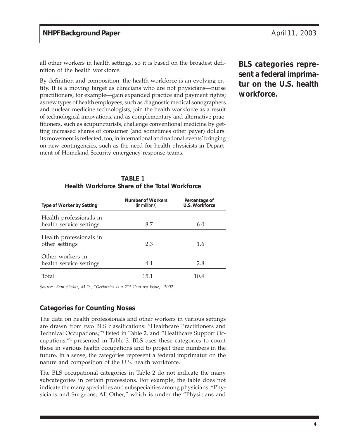all other workers in health settings, so it is based on the broadest definition of the health workforce.

By definition and composition, the health workforce is an evolving entity. It is a moving target as clinicians who are not physicians—nurse practitioners, for example—gain expanded practice and payment rights; as new types of health employees, such as diagnostic medical sonographers and nuclear medicine technologists, join the health workforce as a result of technological innovations; and as complementary and alternative practitioners, such as acupuncturists, challenge conventional medicine by getting increased shares of consumer (and sometimes other payer) dollars. Its movement is reflected, too, in international and national events' bringing on new contingencies, such as the need for health physicists in Department of Homeland Security emergency response teams.

> **TABLE 1 Health Workforce Share of the Total Workforce**

| Type of Worker by Setting                          | Number of Workers<br>(in millions) | Percentage of<br>U.S. Workforce |
|----------------------------------------------------|------------------------------------|---------------------------------|
| Health professionals in<br>health service settings | 8.7                                | 6.0                             |
| Health professionals in<br>other settings          | 2.3                                | 1.6                             |
| Other workers in<br>health service settings        | 4.1                                | 2.8                             |
| Total                                              | 15.1                               | 10.4                            |

*Source: Sam Shekar, M.D., "Geriatrics Is a 21st Century Issue," 2002.*

# **Categories for Counting Noses**

The data on health professionals and other workers in various settings are drawn from two BLS classifications: "Healthcare Practitioners and Technical Occupations,"3 listed in Table 2, and "Healthcare Support Occupations,"4 presented in Table 3. BLS uses these categories to count those in various health occupations and to project their numbers in the future. In a sense, the categories represent a federal imprimatur on the nature and composition of the U.S. health workforce.

The BLS occupational categories in Table 2 do not indicate the many subcategories in certain professions. For example, the table does not indicate the many specialties and subspecialties among physicians. "Physicians and Surgeons, All Other," which is under the "Physicians and

**BLS categories represent a federal imprimatur on the U.S. health workforce.**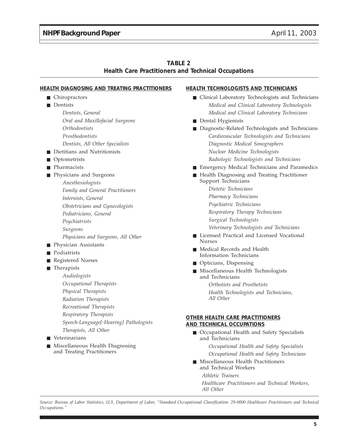| <b>TABLE 2</b>                                             |  |
|------------------------------------------------------------|--|
| <b>Health Care Practitioners and Technical Occupations</b> |  |

#### **HEALTH DIAGNOSING AND TREATING PRACTITIONERS**

- Chiropractors
- Dentists
	- *Dentists, General Oral and Maxillofacial Surgeons Orthodontists Prosthodontists Dentists, All Other Specialists*
- Dietitians and Nutritionists
- Optometrists
- Pharmacists
- Physicians and Surgeons
	- *Anesthesiologists Family and General Practitioners Internists, General Obstetricians and Gynecologists Pediatricians, General Psychiatrists Surgeons Physicians and Surgeons, All Other*
- Physician Assistants
- Podiatrists
- Registered Nurses
- Therapists
	- *Audiologists*
	- *Occupational Therapists*
	- *Physical Therapists*
	- *Radiation Therapists*
	- *Recreational Therapists*
	- *Respiratory Therapists*
	- *Speech-Language[-Hearing] Pathologists Therapists, All Other*
- Veterinarians
- Miscellaneous Health Diagnosing and Treating Practitioners

#### **HEALTH TECHNOLOGISTS AND TECHNICIANS**

- Clinical Laboratory Technologists and Technicians *Medical and Clinical Laboratory Technologists Medical and Clinical Laboratory Technicians*
- Dental Hygienists
- Diagnostic-Related Technologists and Technicians *Cardiovascular Technologists and Technicians Diagnostic Medical Sonographers Nuclear Medicine Technologists Radiologic Technologists and Technicians*
- Emergency Medical Technicians and Paramedics
- Health Diagnosing and Treating Practitioner Support Technicians
	- *Dietetic Technicians Pharmacy Technicians Psychiatric Technicians Respiratory Therapy Technicians Surgical Technologists Veterinary Technologists and Technicians*
- Licensed Practical and Licensed Vocational Nurses
- Medical Records and Health Information Technicians
- Opticians, Dispensing
- Miscellaneous Health Technologists and Technicians

*Orthotists and Prosthetists Health Technologists and Technicians, All Other*

#### **OTHER HEALTH CARE PRACTITIONERS AND TECHNICAL OCCUPATIONS**

■ Occupational Health and Safety Specialists and Technicians

> *Occupational Health and Safety Specialists Occupational Health and Safety Technicians*

■ Miscellaneous Health Practitioners and Technical Workers

*Athletic Trainers*

*Healthcare Practitioners and Technical Workers, All Other*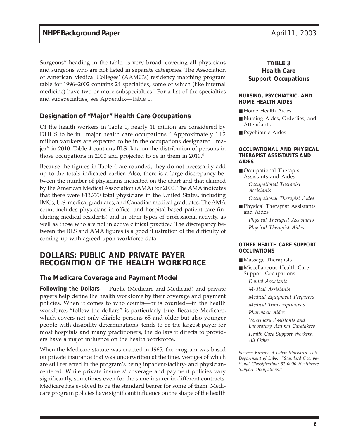Surgeons" heading in the table, is very broad, covering all physicians and surgeons who are not listed in separate categories. The Association of American Medical Colleges' (AAMC's) residency matching program table for 1996–2002 contains 24 specialties, some of which (like internal medicine) have two or more subspecialties.<sup>5</sup> For a list of the specialties and subspecialties, see Appendix—Table 1.

# **Designation of "Major" Health Care Occupations**

Of the health workers in Table 1, nearly 11 million are considered by DHHS to be in "major health care occupations." Approximately 14.2 million workers are expected to be in the occupations designated "major" in 2010. Table 4 contains BLS data on the distribution of persons in those occupations in 2000 and projected to be in them in  $2010<sup>6</sup>$ 

Because the figures in Table 4 are rounded, they do not necessarily add up to the totals indicated earlier. Also, there is a large discrepancy between the number of physicians indicated on the chart and that claimed by the American Medical Association (AMA) for 2000. The AMA indicates that there were 813,770 total physicians in the United States, including IMGs, U.S. medical graduates, and Canadian medical graduates. The AMA count includes physicians in office- and hospital-based patient care (including medical residents) and in other types of professional activity, as well as those who are not in active clinical practice.<sup>7</sup> The discrepancy between the BLS and AMA figures is a good illustration of the difficulty of coming up with agreed-upon workforce data.

# **DOLLARS: PUBLIC AND PRIVATE PAYER RECOGNITION OF THE HEALTH WORKFORCE**

# **The Medicare Coverage and Payment Model**

**Following the Dollars —** Public (Medicare and Medicaid) and private payers help define the health workforce by their coverage and payment policies. When it comes to who counts—or is counted—in the health workforce, "follow the dollars" is particularly true. Because Medicare, which covers not only eligible persons 65 and older but also younger people with disability determinations, tends to be the largest payer for most hospitals and many practitioners, the dollars it directs to providers have a major influence on the health workforce.

When the Medicare statute was enacted in 1965, the program was based on private insurance that was underwritten at the time, vestiges of which are still reflected in the program's being inpatient-facility- and physiciancentered. While private insurers' coverage and payment policies vary significantly, sometimes even for the same insurer in different contracts, Medicare has evolved to be the standard bearer for some of them. Medicare program policies have significant influence on the shape of the health

# **TABLE 3 Health Care Support Occupations**

#### **NURSING, PSYCHIATRIC, AND HOME HEALTH AIDES**

- Home Health Aides
- Nursing Aides, Orderlies, and Attendants
- Psychiatric Aides

#### **OCCUPATIONAL AND PHYSICAL THERAPIST ASSISTANTS AND AIDES**

■ Occupational Therapist Assistants and Aides *Occupational Therapist*

*Assistants*

*Occupational Therapist Aides*

■ Physical Therapist Assistants and Aides *Physical Therapist Assistants*

*Physical Therapist Aides*

#### **OTHER HEALTH CARE SUPPORT OCCUPATIONS**

- Massage Therapists
- Miscellaneous Health Care Support Occupations
	- *Dental Assistants Medical Assistants Medical Equipment Preparers Medical Transcriptionists Pharmacy Aides Veterinary Assistants and Laboratory Animal Caretakers*

*Health Care Support Workers, All Other*

*Source: Bureau of Labor Statistics, U.S. Department of Labor, "Standard Occupational Classification: 31-0000 Healthcare Support Occupations."*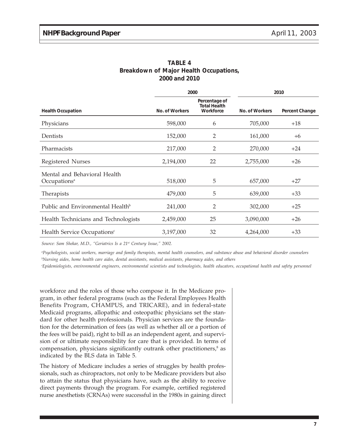|                                                          | 2000           |                                                   | 2010           |                |  |
|----------------------------------------------------------|----------------|---------------------------------------------------|----------------|----------------|--|
| <b>Health Occupation</b>                                 | No. of Workers | Percentage of<br><b>Total Health</b><br>Workforce | No. of Workers | Percent Change |  |
| Physicians                                               | 598,000        | 6                                                 | 705,000        | $+18$          |  |
| Dentists                                                 | 152,000        | 2                                                 | 161,000        | $+6$           |  |
| Pharmacists                                              | 217,000        | 2                                                 | 270,000        | $+24$          |  |
| Registered Nurses                                        | 2,194,000      | 22                                                | 2,755,000      | $+26$          |  |
| Mental and Behavioral Health<br>Occupations <sup>a</sup> | 518,000        | 5                                                 | 657,000        | $+27$          |  |
| Therapists                                               | 479,000        | 5                                                 | 639,000        | $+33$          |  |
| Public and Environmental Health <sup>b</sup>             | 241,000        | 2                                                 | 302,000        | $+25$          |  |
| Health Technicians and Technologists                     | 2,459,000      | 25                                                | 3,090,000      | $+26$          |  |
| Health Service Occupations <sup>c</sup>                  | 3,197,000      | 32                                                | 4,264,000      | $+33$          |  |

| <b>TABLE 4</b> |  |  |               |                                        |  |
|----------------|--|--|---------------|----------------------------------------|--|
|                |  |  |               | Breakdown of Major Health Occupations, |  |
|                |  |  | 2000 and 2010 |                                        |  |

*Source: Sam Shekar, M.D., "Geriatrics Is a 21st Century Issue," 2002.*

*a Psychologists, social workers, marriage and family therapists, mental health counselors, and substance abuse and behavioral disorder counselors b Nursing aides, home health care aides, dental assistants, medical assistants, pharmacy aides, and others*

*c Epidemiologists, environmental engineers, environmental scientists and technologists, health educators, occupational health and safety personnel*

workforce and the roles of those who compose it. In the Medicare program, in other federal programs (such as the Federal Employees Health Benefits Program, CHAMPUS, and TRICARE), and in federal-state Medicaid programs, allopathic and osteopathic physicians set the standard for other health professionals. Physician services are the foundation for the determination of fees (as well as whether all or a portion of the fees will be paid), right to bill as an independent agent, and supervision of or ultimate responsibility for care that is provided. In terms of compensation, physicians significantly outrank other practitioners,<sup>8</sup> as indicated by the BLS data in Table 5.

The history of Medicare includes a series of struggles by health professionals, such as chiropractors, not only to be Medicare providers but also to attain the status that physicians have, such as the ability to receive direct payments through the program. For example, certified registered nurse anesthetists (CRNAs) were successful in the 1980s in gaining direct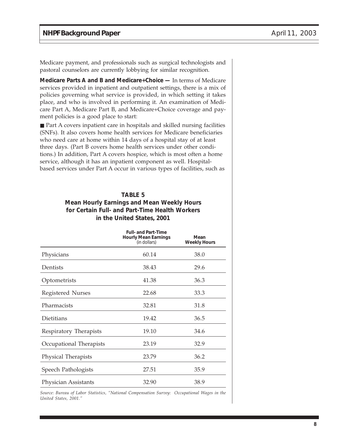Medicare payment, and professionals such as surgical technologists and pastoral counselors are currently lobbying for similar recognition.

**Medicare Parts A and B and Medicare+Choice —** In terms of Medicare services provided in inpatient and outpatient settings, there is a mix of policies governing what service is provided, in which setting it takes place, and who is involved in performing it. An examination of Medicare Part A, Medicare Part B, and Medicare+Choice coverage and payment policies is a good place to start:

■ Part A covers inpatient care in hospitals and skilled nursing facilities (SNFs). It also covers home health services for Medicare beneficiaries who need care at home within 14 days of a hospital stay of at least three days. (Part B covers home health services under other conditions.) In addition, Part A covers hospice, which is most often a home service, although it has an inpatient component as well. Hospitalbased services under Part A occur in various types of facilities, such as

# **TABLE 5 Mean Hourly Earnings and Mean Weekly Hours for Certain Full- and Part-Time Health Workers in the United States, 2001**

|                            | <b>Full-and Part-Time</b><br><b>Hourly Mean Earnings</b><br>(in dollars) | Mean<br><b>Weekly Hours</b> |
|----------------------------|--------------------------------------------------------------------------|-----------------------------|
| Physicians                 | 60.14                                                                    | 38.0                        |
| Dentists                   | 38.43                                                                    | 29.6                        |
| Optometrists               | 41.38                                                                    | 36.3                        |
| Registered Nurses          | 22.68                                                                    | 33.3                        |
| Pharmacists                | 32.81                                                                    | 31.8                        |
| Dietitians                 | 19.42                                                                    | 36.5                        |
| Respiratory Therapists     | 19.10                                                                    | 34.6                        |
| Occupational Therapists    | 23.19                                                                    | 32.9                        |
| <b>Physical Therapists</b> | 23.79                                                                    | 36.2                        |
| Speech Pathologists        | 27.51                                                                    | 35.9                        |
| Physician Assistants       | 32.90                                                                    | 38.9                        |

*Source: Bureau of Labor Statistics, "National Compensation Survey: Occupational Wages in the United States, 2001."*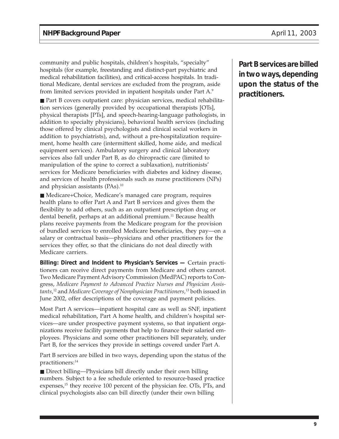community and public hospitals, children's hospitals, "specialty" hospitals (for example, freestanding and distinct-part psychiatric and medical rehabilitation facilities), and critical-access hospitals. In traditional Medicare, dental services are excluded from the program, aside from limited services provided in inpatient hospitals under Part A.9

■ Part B covers outpatient care: physician services, medical rehabilitation services (generally provided by occupational therapists [OTs], physical therapists [PTs], and speech-hearing-language pathologists, in addition to specialty physicians), behavioral health services (including those offered by clinical psychologists and clinical social workers in addition to psychiatrists), and, without a pre-hospitalization requirement, home health care (intermittent skilled, home aide, and medical equipment services). Ambulatory surgery and clinical laboratory services also fall under Part B, as do chiropractic care (limited to manipulation of the spine to correct a sublaxation), nutritionists' services for Medicare beneficiaries with diabetes and kidney disease, and services of health professionals such as nurse practitioners (NPs) and physician assistants (PAs).<sup>10</sup>

■ Medicare+Choice, Medicare's managed care program, requires health plans to offer Part A and Part B services and gives them the flexibility to add others, such as an outpatient prescription drug or dental benefit, perhaps at an additional premium.<sup>11</sup> Because health plans receive payments from the Medicare program for the provision of bundled services to enrolled Medicare beneficiaries, they pay—on a salary or contractual basis—physicians and other practitioners for the services they offer, so that the clinicians do not deal directly with Medicare carriers.

**Billing: Direct and Incident to Physician's Services —** Certain practitioners can receive direct payments from Medicare and others cannot. Two Medicare Payment Advisory Commission (MedPAC) reports to Congress, *Medicare Payment to Advanced Practice Nurses and Physician Assistants*, 12 and *Medicare Coverage of Nonphysician Practitioners,*13 both issued in June 2002, offer descriptions of the coverage and payment policies.

Most Part A services—inpatient hospital care as well as SNF, inpatient medical rehabilitation, Part A home health, and children's hospital services—are under prospective payment systems, so that inpatient organizations receive facility payments that help to finance their salaried employees. Physicians and some other practitioners bill separately, under Part B, for the services they provide in settings covered under Part A.

Part B services are billed in two ways, depending upon the status of the practitioners:<sup>14</sup>

■ Direct billing—Physicians bill directly under their own billing numbers. Subject to a fee schedule oriented to resource-based practice expenses,<sup>15</sup> they receive 100 percent of the physician fee. OTs, PTs, and clinical psychologists also can bill directly (under their own billing

**Part B services are billed in two ways, depending upon the status of the practitioners.**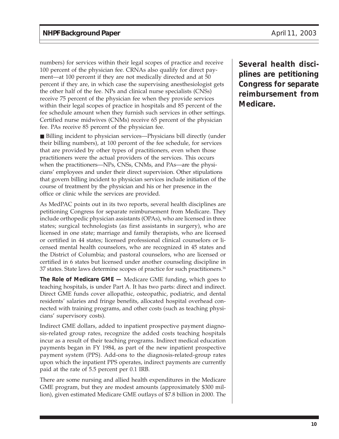numbers) for services within their legal scopes of practice and receive 100 percent of the physician fee. CRNAs also qualify for direct payment—at 100 percent if they are not medically directed and at 50 percent if they are, in which case the supervising anesthesiologist gets the other half of the fee. NPs and clinical nurse specialists (CNSs) receive 75 percent of the physician fee when they provide services within their legal scopes of practice in hospitals and 85 percent of the fee schedule amount when they furnish such services in other settings. Certified nurse midwives (CNMs) receive 65 percent of the physician fee. PAs receive 85 percent of the physician fee.

■ Billing incident to physician services—Physicians bill directly (under their billing numbers), at 100 percent of the fee schedule, for services that are provided by other types of practitioners, even when those practitioners were the actual providers of the services. This occurs when the practitioners—NPs, CNSs, CNMs, and PAs—are the physicians' employees and under their direct supervision. Other stipulations that govern billing incident to physician services include initiation of the course of treatment by the physician and his or her presence in the office or clinic while the services are provided.

As MedPAC points out in its two reports, several health disciplines are petitioning Congress for separate reimbursement from Medicare. They include orthopedic physician assistants (OPAs), who are licensed in three states; surgical technologists (as first assistants in surgery), who are licensed in one state; marriage and family therapists, who are licensed or certified in 44 states; licensed professional clinical counselors or licensed mental health counselors, who are recognized in 45 states and the District of Columbia; and pastoral counselors, who are licensed or certified in 6 states but licensed under another counseling discipline in 37 states. State laws determine scopes of practice for such practitioners.16

**The Role of Medicare GME —** Medicare GME funding, which goes to teaching hospitals, is under Part A. It has two parts: direct and indirect. Direct GME funds cover allopathic, osteopathic, podiatric, and dental residents' salaries and fringe benefits, allocated hospital overhead connected with training programs, and other costs (such as teaching physicians' supervisory costs).

Indirect GME dollars, added to inpatient prospective payment diagnosis-related group rates, recognize the added costs teaching hospitals incur as a result of their teaching programs. Indirect medical education payments began in FY 1984, as part of the new inpatient prospective payment system (PPS). Add-ons to the diagnosis-related-group rates upon which the inpatient PPS operates, indirect payments are currently paid at the rate of 5.5 percent per 0.1 IRB.

There are some nursing and allied health expenditures in the Medicare GME program, but they are modest amounts (approximately \$300 million), given estimated Medicare GME outlays of \$7.8 billion in 2000. The

**Several health disciplines are petitioning Congress for separate reimbursement from Medicare.**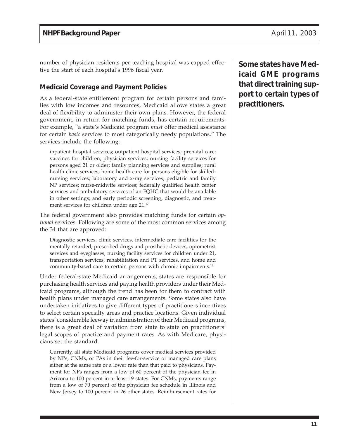number of physician residents per teaching hospital was capped effective the start of each hospital's 1996 fiscal year.

# **Medicaid Coverage and Payment Policies**

As a federal-state entitlement program for certain persons and families with low incomes and resources, Medicaid allows states a great deal of flexibility to administer their own plans. However, the federal government, in return for matching funds, has certain requirements. For example, "a state's Medicaid program *must* offer medical assistance for certain *basic* services to most categorically needy populations." The services include the following:

inpatient hospital services; outpatient hospital services; prenatal care; vaccines for children; physician services; nursing facility services for persons aged 21 or older; family planning services and supplies; rural health clinic services; home health care for persons eligible for skillednursing services; laboratory and x-ray services; pediatric and family NP services; nurse-midwife services; federally qualified health center services and ambulatory services of an FQHC that would be available in other settings; and early periodic screening, diagnostic, and treatment services for children under age 21.<sup>17</sup>

The federal government also provides matching funds for certain *optional* services. Following are some of the most common services among the 34 that are approved:

Diagnostic services, clinic services, intermediate-care facilities for the mentally retarded, prescribed drugs and prosthetic devices, optometrist services and eyeglasses, nursing facility services for children under 21, transportation services, rehabilitation and PT services, and home and community-based care to certain persons with chronic impairments.18

Under federal-state Medicaid arrangements, states are responsible for purchasing health services and paying health providers under their Medicaid programs, although the trend has been for them to contract with health plans under managed care arrangements. Some states also have undertaken initiatives to give different types of practitioners incentives to select certain specialty areas and practice locations. Given individual states' considerable leeway in administration of their Medicaid programs, there is a great deal of variation from state to state on practitioners' legal scopes of practice and payment rates. As with Medicare, physicians set the standard.

Currently, all state Medicaid programs cover medical services provided by NPs, CNMs, or PAs in their fee-for-service or managed care plans either at the same rate or a lower rate than that paid to physicians. Payment for NPs ranges from a low of 60 percent of the physician fee in Arizona to 100 percent in at least 19 states. For CNMs, payments range from a low of 70 percent of the physician fee schedule in Illinois and New Jersey to 100 percent in 26 other states. Reimbursement rates for **Some states have Medicaid GME programs that direct training support to certain types of practitioners.**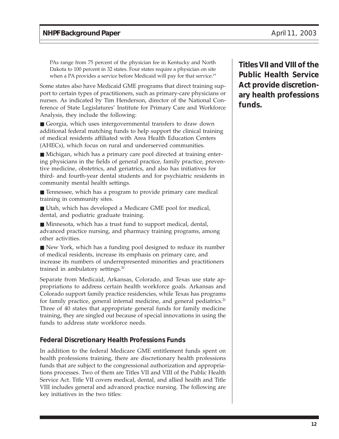PAs range from 75 percent of the physician fee in Kentucky and North Dakota to 100 percent in 32 states. Four states require a physician on site when a PA provides a service before Medicaid will pay for that service.<sup>19</sup>

Some states also have Medicaid GME programs that direct training support to certain types of practitioners, such as primary-care physicians or nurses. As indicated by Tim Henderson, director of the National Conference of State Legislatures' Institute for Primary Care and Workforce Analysis, they include the following:

■ Georgia, which uses intergovernmental transfers to draw down additional federal matching funds to help support the clinical training of medical residents affiliated with Area Health Education Centers (AHECs), which focus on rural and underserved communities.

■ Michigan, which has a primary care pool directed at training entering physicians in the fields of general practice, family practice, preventive medicine, obstetrics, and geriatrics, and also has initiatives for third- and fourth-year dental students and for psychiatric residents in community mental health settings.

■ Tennessee, which has a program to provide primary care medical training in community sites.

■ Utah, which has developed a Medicare GME pool for medical, dental, and podiatric graduate training.

■ Minnesota, which has a trust fund to support medical, dental, advanced practice nursing, and pharmacy training programs, among other activities.

■ New York, which has a funding pool designed to reduce its number of medical residents, increase its emphasis on primary care, and increase its numbers of underrepresented minorities and practitioners trained in ambulatory settings.<sup>20</sup>

Separate from Medicaid, Arkansas, Colorado, and Texas use state appropriations to address certain health workforce goals. Arkansas and Colorado support family practice residencies, while Texas has programs for family practice, general internal medicine, and general pediatrics.<sup>21</sup> Three of 40 states that appropriate general funds for family medicine training, they are singled out because of special innovations in using the funds to address state workforce needs.

# **Federal Discretionary Health Professions Funds**

In addition to the federal Medicare GME entitlement funds spent on health professions training, there are discretionary health professions funds that are subject to the congressional authorization and appropriations processes. Two of them are Titles VII and VIII of the Public Health Service Act. Title VII covers medical, dental, and allied health and Title VIII includes general and advanced practice nursing. The following are key initiatives in the two titles:

**Titles VII and VIII of the Public Health Service Act provide discretionary health professions funds.**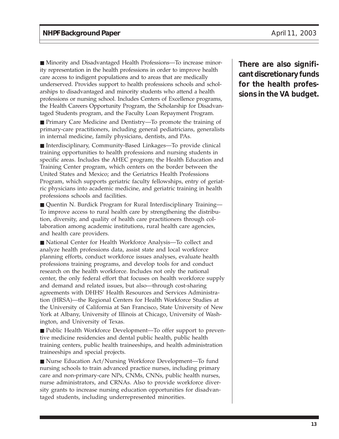■ Minority and Disadvantaged Health Professions—To increase minority representation in the health professions in order to improve health care access to indigent populations and to areas that are medically underserved. Provides support to health professions schools and scholarships to disadvantaged and minority students who attend a health professions or nursing school. Includes Centers of Excellence programs, the Health Careers Opportunity Program, the Scholarship for Disadvantaged Students program, and the Faculty Loan Repayment Program.

■ Primary Care Medicine and Dentistry—To promote the training of primary-care practitioners, including general pediatricians, generalists in internal medicine, family physicians, dentists, and PAs.

■ Interdisciplinary, Community-Based Linkages—To provide clinical training opportunities to health professions and nursing students in specific areas. Includes the AHEC program; the Health Education and Training Center program, which centers on the border between the United States and Mexico; and the Geriatrics Health Professions Program, which supports geriatric faculty fellowships, entry of geriatric physicians into academic medicine, and geriatric training in health professions schools and facilities.

■ Quentin N. Burdick Program for Rural Interdisciplinary Training— To improve access to rural health care by strengthening the distribution, diversity, and quality of health care practitioners through collaboration among academic institutions, rural health care agencies, and health care providers.

■ National Center for Health Workforce Analysis—To collect and analyze health professions data, assist state and local workforce planning efforts, conduct workforce issues analyses, evaluate health professions training programs, and develop tools for and conduct research on the health workforce. Includes not only the national center, the only federal effort that focuses on health workforce supply and demand and related issues, but also—through cost-sharing agreements with DHHS' Health Resources and Services Administration (HRSA)—the Regional Centers for Health Workforce Studies at the University of California at San Francisco, State University of New York at Albany, University of Illinois at Chicago, University of Washington, and University of Texas.

■ Public Health Workforce Development—To offer support to preventive medicine residencies and dental public health, public health training centers, public health traineeships, and health administration traineeships and special projects.

■ Nurse Education Act/Nursing Workforce Development—To fund nursing schools to train advanced practice nurses, including primary care and non-primary-care NPs, CNMs, CNNs, public health nurses, nurse administrators, and CRNAs. Also to provide workforce diversity grants to increase nursing education opportunities for disadvantaged students, including underrepresented minorities.

**There are also significant discretionary funds for the health professions in the VA budget.**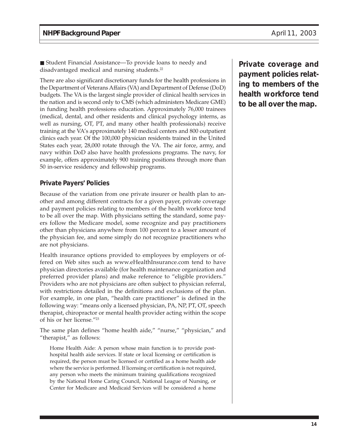■ Student Financial Assistance—To provide loans to needy and disadvantaged medical and nursing students.<sup>22</sup>

There are also significant discretionary funds for the health professions in the Department of Veterans Affairs (VA) and Department of Defense (DoD) budgets. The VA is the largest single provider of clinical health services in the nation and is second only to CMS (which administers Medicare GME) in funding health professions education. Approximately 76,000 trainees (medical, dental, and other residents and clinical psychology interns, as well as nursing, OT, PT, and many other health professionals) receive training at the VA's approximately 140 medical centers and 800 outpatient clinics each year. Of the 100,000 physician residents trained in the United States each year, 28,000 rotate through the VA. The air force, army, and navy within DoD also have health professions programs. The navy, for example, offers approximately 900 training positions through more than 50 in-service residency and fellowship programs.

# **Private Payers' Policies**

Because of the variation from one private insurer or health plan to another and among different contracts for a given payer, private coverage and payment policies relating to members of the health workforce tend to be all over the map. With physicians setting the standard, some payers follow the Medicare model, some recognize and pay practitioners other than physicians anywhere from 100 percent to a lesser amount of the physician fee, and some simply do not recognize practitioners who are not physicians.

Health insurance options provided to employees by employers or offered on Web sites such as www.eHealthInsurance.com tend to have physician directories available (for health maintenance organization and preferred provider plans) and make reference to "eligible providers." Providers who are not physicians are often subject to physician referral, with restrictions detailed in the definitions and exclusions of the plan. For example, in one plan, "health care practitioner" is defined in the following way: "means only a licensed physician, PA, NP, PT, OT, speech therapist, chiropractor or mental health provider acting within the scope of his or her license."23

The same plan defines "home health aide," "nurse," "physician," and "therapist," as follows:

Home Health Aide: A person whose main function is to provide posthospital health aide services. If state or local licensing or certification is required, the person must be licensed or certified as a home health aide where the service is performed. If licensing or certification is not required, any person who meets the minimum training qualifications recognized by the National Home Caring Council, National League of Nursing, or Center for Medicare and Medicaid Services will be considered a home

**Private coverage and payment policies relating to members of the health workforce tend to be all over the map.**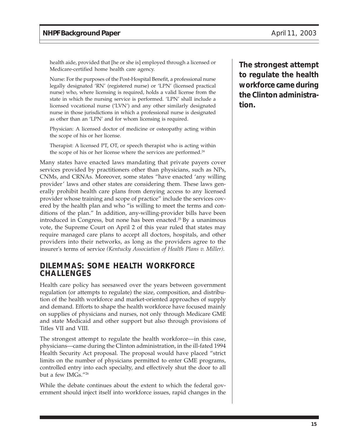health aide, provided that [he or she is] employed through a licensed or Medicare-certified home health care agency.

Nurse: For the purposes of the Post-Hospital Benefit, a professional nurse legally designated 'RN' (registered nurse) or 'LPN' (licensed practical nurse) who, where licensing is required, holds a valid license from the state in which the nursing service is performed. 'LPN' shall include a licensed vocational nurse ('LVN') and any other similarly designated nurse in those jurisdictions in which a professional nurse is designated as other than an 'LPN' and for whom licensing is required.

Physician: A licensed doctor of medicine or osteopathy acting within the scope of his or her license.

Therapist: A licensed PT, OT, or speech therapist who is acting within the scope of his or her license where the services are performed.<sup>24</sup>

Many states have enacted laws mandating that private payers cover services provided by practitioners other than physicians, such as NPs, CNMs, and CRNAs. Moreover, some states "have enacted 'any willing provider' laws and other states are considering them. These laws generally prohibit health care plans from denying access to any licensed provider whose training and scope of practice" include the services covered by the health plan and who "is willing to meet the terms and conditions of the plan." In addition, any-willing-provider bills have been introduced in Congress, but none has been enacted.25 By a unanimous vote, the Supreme Court on April 2 of this year ruled that states may require managed care plans to accept all doctors, hospitals, and other providers into their networks, as long as the providers agree to the insurer's terms of service *(Kentucky Association of Health Plans v. Miller)*.

# **DILEMMAS: SOME HEALTH WORKFORCE CHALLENGES**

Health care policy has seesawed over the years between government regulation (or attempts to regulate) the size, composition, and distribution of the health workforce and market-oriented approaches of supply and demand. Efforts to shape the health workforce have focused mainly on supplies of physicians and nurses, not only through Medicare GME and state Medicaid and other support but also through provisions of Titles VII and VIII.

The strongest attempt to regulate the health workforce—in this case, physicians—came during the Clinton administration, in the ill-fated 1994 Health Security Act proposal. The proposal would have placed "strict limits on the number of physicians permitted to enter GME programs, controlled entry into each specialty, and effectively shut the door to all but a few IMGs."26

While the debate continues about the extent to which the federal government should inject itself into workforce issues, rapid changes in the **The strongest attempt to regulate the health workforce came during the Clinton administration.**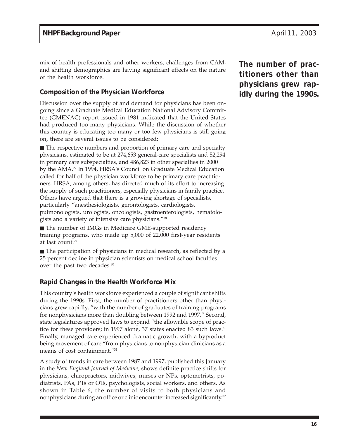mix of health professionals and other workers, challenges from CAM, and shifting demographics are having significant effects on the nature of the health workforce.

# **Composition of the Physician Workforce**

Discussion over the supply of and demand for physicians has been ongoing since a Graduate Medical Education National Advisory Committee (GMENAC) report issued in 1981 indicated that the United States had produced too many physicians. While the discussion of whether this country is educating too many or too few physicians is still going on, there are several issues to be considered:

■ The respective numbers and proportion of primary care and specialty physicians, estimated to be at 274,653 general-care specialists and 52,294 in primary care subspecialties, and 486,823 in other specialties in 2000 by the AMA.27 In 1994, HRSA's Council on Graduate Medical Education called for half of the physician workforce to be primary care practitioners. HRSA, among others, has directed much of its effort to increasing the supply of such practitioners, especially physicians in family practice. Others have argued that there is a growing shortage of specialists, particularly "anesthesiologists, gerontologists, cardiologists, pulmonologists, urologists, oncologists, gastroenterologists, hematologists and a variety of intensive care physicians."28

■ The number of IMGs in Medicare GME-supported residency training programs, who made up 5,000 of 22,000 first-year residents at last count.29

■ The participation of physicians in medical research, as reflected by a 25 percent decline in physician scientists on medical school faculties over the past two decades.30

# **Rapid Changes in the Health Workforce Mix**

This country's health workforce experienced a couple of significant shifts during the 1990s. First, the number of practitioners other than physicians grew rapidly, "with the number of graduates of training programs for nonphysicians more than doubling between 1992 and 1997." Second, state legislatures approved laws to expand "the allowable scope of practice for these providers; in 1997 alone, 37 states enacted 83 such laws." Finally, managed care experienced dramatic growth, with a byproduct being movement of care "from physicians to nonphysician clinicians as a means of cost containment."31

A study of trends in care between 1987 and 1997, published this January in the *New England Journal of Medicine*, shows definite practice shifts for physicians, chiropractors, midwives, nurses or NPs, optometrists, podiatrists, PAs, PTs or OTs, psychologists, social workers, and others. As shown in Table 6, the number of visits to both physicians and nonphysicians during an office or clinic encounter increased significantly.<sup>32</sup>

**The number of practitioners other than physicians grew rapidly during the 1990s.**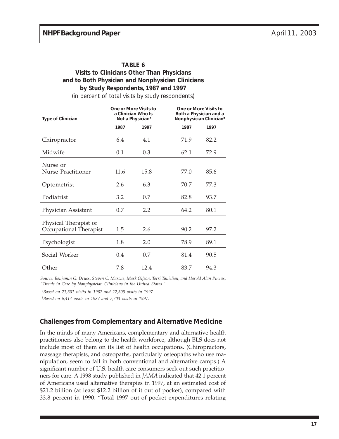#### **TABLE 6**

## **Visits to Clinicians Other Than Physicians and to Both Physician and Nonphysician Clinicians by Study Respondents, 1987 and 1997**

(in percent of total visits by study respondents)

| <b>Type of Clinician</b>                        |      | One or More Visits to<br>a Clinician Who Is<br>Not a Physician <sup>a</sup> |      | One or More Visits to<br>Both a Physician and a<br>Nonphysician Clinician <sup>b</sup> |  |  |
|-------------------------------------------------|------|-----------------------------------------------------------------------------|------|----------------------------------------------------------------------------------------|--|--|
|                                                 | 1987 | 1997                                                                        | 1987 | 1997                                                                                   |  |  |
| Chiropractor                                    | 6.4  | 4.1                                                                         | 71.9 | 82.2                                                                                   |  |  |
| Midwife                                         | 0.1  | 0.3                                                                         | 62.1 | 72.9                                                                                   |  |  |
| Nurse or<br><b>Nurse Practitioner</b>           | 11.6 | 15.8                                                                        | 77.0 | 85.6                                                                                   |  |  |
| Optometrist                                     | 2.6  | 6.3                                                                         | 70.7 | 77.3                                                                                   |  |  |
| Podiatrist                                      | 3.2  | 0.7                                                                         | 82.8 | 93.7                                                                                   |  |  |
| Physician Assistant                             | 0.7  | 2.2                                                                         | 64.2 | 80.1                                                                                   |  |  |
| Physical Therapist or<br>Occupational Therapist | 1.5  | 2.6                                                                         | 90.2 | 97.2                                                                                   |  |  |
| Psychologist                                    | 1.8  | 2.0                                                                         | 78.9 | 89.1                                                                                   |  |  |
| Social Worker                                   | 0.4  | 0.7                                                                         | 81.4 | 90.5                                                                                   |  |  |
| Other                                           | 7.8  | 12.4                                                                        | 83.7 | 94.3                                                                                   |  |  |

*Source: Benjamin G. Druss, Steven C. Marcus, Mark Olfson, Terri Tanielian, and Harold Alan Pincus, "Trends in Care by Nonphysician Clinicians in the United States."*

*a Based on 21,501 visits in 1987 and 22,505 visits in 1997.*

*b Based on 6,414 visits in 1987 and 7,703 visits in 1997.*

# **Challenges from Complementary and Alternative Medicine**

In the minds of many Americans, complementary and alternative health practitioners also belong to the health workforce, although BLS does not include most of them on its list of health occupations. (Chiropractors, massage therapists, and osteopaths, particularly osteopaths who use manipulation, seem to fall in both conventional and alternative camps.) A significant number of U.S. health care consumers seek out such practitioners for care. A 1998 study published in *JAMA* indicated that 42.1 percent of Americans used alternative therapies in 1997, at an estimated cost of \$21.2 billion (at least \$12.2 billion of it out of pocket), compared with 33.8 percent in 1990. "Total 1997 out-of-pocket expenditures relating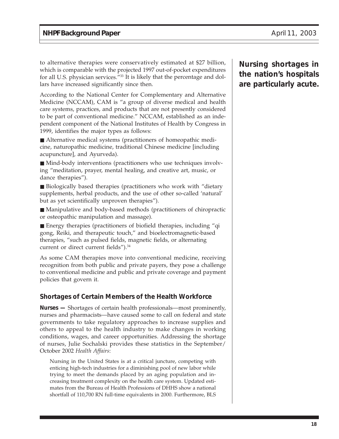to alternative therapies were conservatively estimated at \$27 billion, which is comparable with the projected 1997 out-of-pocket expenditures for all U.S. physician services."<sup>33</sup> It is likely that the percentage and dollars have increased significantly since then.

According to the National Center for Complementary and Alternative Medicine (NCCAM), CAM is "a group of diverse medical and health care systems, practices, and products that are not presently considered to be part of conventional medicine." NCCAM, established as an independent component of the National Institutes of Health by Congress in 1999, identifies the major types as follows:

■ Alternative medical systems (practitioners of homeopathic medicine, naturopathic medicine, traditional Chinese medicine [including acupuncture], and Ayurveda).

■ Mind-body interventions (practitioners who use techniques involving "meditation, prayer, mental healing, and creative art, music, or dance therapies").

■ Biologically based therapies (practitioners who work with "dietary supplements, herbal products, and the use of other so-called 'natural' but as yet scientifically unproven therapies").

■ Manipulative and body-based methods (practitioners of chiropractic or osteopathic manipulation and massage).

■ Energy therapies (practitioners of biofield therapies, including "qi gong, Reiki, and therapeutic touch," and bioelectromagnetic-based therapies, "such as pulsed fields, magnetic fields, or alternating current or direct current fields").<sup>34</sup>

As some CAM therapies move into conventional medicine, receiving recognition from both public and private payers, they pose a challenge to conventional medicine and public and private coverage and payment policies that govern it.

# **Shortages of Certain Members of the Health Workforce**

**Nurses —** Shortages of certain health professionals—most prominently, nurses and pharmacists—have caused some to call on federal and state governments to take regulatory approaches to increase supplies and others to appeal to the health industry to make changes in working conditions, wages, and career opportunities. Addressing the shortage of nurses, Julie Sochalski provides these statistics in the September/ October 2002 *Health Affairs*:

Nursing in the United States is at a critical juncture, competing with enticing high-tech industries for a diminishing pool of new labor while trying to meet the demands placed by an aging population and increasing treatment complexity on the health care system. Updated estimates from the Bureau of Health Professions of DHHS show a national shortfall of 110,700 RN full-time equivalents in 2000. Furthermore, BLS **Nursing shortages in the nation's hospitals are particularly acute.**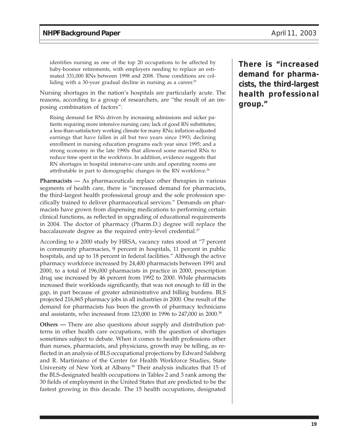identifies nursing as one of the top 20 occupations to be affected by baby-boomer retirements, with employers needing to replace an estimated 331,000 RNs between 1998 and 2008. These conditions are colliding with a 30-year gradual decline in nursing as a career.<sup>35</sup>

Nursing shortages in the nation's hospitals are particularly acute. The reasons, according to a group of researchers, are "the result of an imposing combination of factors":

Rising demand for RNs driven by increasing admissions and sicker patients requiring more intensive nursing care; lack of good RN substitutes; a less-than-satisfactory working climate for many RNs; inflation-adjusted earnings that have fallen in all but two years since 1993; declining enrollment in nursing education programs each year since 1995; and a strong economy in the late 1990s that allowed some married RNs to reduce time spent in the workforce. In addition, evidence suggests that RN shortages in hospital intensive-care units and operating rooms are attributable in part to demographic changes in the RN workforce.<sup>36</sup>

**Pharmacists —** As pharmaceuticals replace other therapies in various segments of health care, there is "increased demand for pharmacists, the third-largest health professional group and the sole profession specifically trained to deliver pharmaceutical services." Demands on pharmacists have grown from dispensing medications to performing certain clinical functions, as reflected in upgrading of educational requirements in 2004. The doctor of pharmacy (Pharm.D.) degree will replace the baccalaureate degree as the required entry-level credential.<sup>37</sup>

According to a 2000 study by HRSA, vacancy rates stood at "7 percent in community pharmacies, 9 percent in hospitals, 11 percent in public hospitals, and up to 18 percent in federal facilities." Although the active pharmacy workforce increased by 24,400 pharmacists between 1991 and 2000, to a total of 196,000 pharmacists in practice in 2000, prescription drug use increased by 46 percent from 1992 to 2000. While pharmacists increased their workloads significantly, that was not enough to fill in the gap, in part because of greater administrative and billing burdens. BLS projected 216,865 pharmacy jobs in all industries in 2000. One result of the demand for pharmacists has been the growth of pharmacy technicians and assistants, who increased from 123,000 in 1996 to 247,000 in 2000.38

**Others —** There are also questions about supply and distribution patterns in other health care occupations, with the question of shortages sometimes subject to debate. When it comes to health professions other than nurses, pharmacists, and physicians, growth may be telling, as reflected in an analysis of BLS occupational projections by Edward Salsberg and R. Martiniano of the Center for Health Workforce Studies, State University of New York at Albany.<sup>39</sup> Their analysis indicates that 15 of the BLS-designated health occupations in Tables 2 and 3 rank among the 30 fields of employment in the United States that are predicted to be the fastest growing in this decade. The 15 health occupations, designated

**There is "increased demand for pharmacists, the third-largest health professional group."**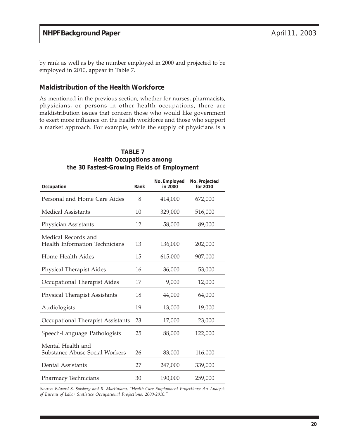by rank as well as by the number employed in 2000 and projected to be employed in 2010, appear in Table 7.

# **Maldistribution of the Health Workforce**

As mentioned in the previous section, whether for nurses, pharmacists, physicians, or persons in other health occupations, there are maldistribution issues that concern those who would like government to exert more influence on the health workforce and those who support a market approach. For example, while the supply of physicians is a

### **TABLE 7 Health Occupations among the 30 Fastest-Growing Fields of Employment**

| Occupation                                            | Rank | No. Employed<br>in 2000 | No. Projected<br>for 2010 |
|-------------------------------------------------------|------|-------------------------|---------------------------|
| Personal and Home Care Aides                          | 8    | 414,000                 | 672,000                   |
| Medical Assistants                                    | 10   | 329,000                 | 516,000                   |
| Physician Assistants                                  | 12   | 58,000                  | 89,000                    |
| Medical Records and<br>Health Information Technicians | 13   | 136,000                 | 202,000                   |
| Home Health Aides                                     | 15   | 615,000                 | 907,000                   |
| Physical Therapist Aides                              | 16   | 36,000                  | 53,000                    |
| Occupational Therapist Aides                          | 17   | 9,000                   | 12,000                    |
| <b>Physical Therapist Assistants</b>                  | 18   | 44,000                  | 64,000                    |
| Audiologists                                          | 19   | 13,000                  | 19,000                    |
| Occupational Therapist Assistants                     | 23   | 17,000                  | 23,000                    |
| Speech-Language Pathologists                          | 25   | 88,000                  | 122,000                   |
| Mental Health and<br>Substance Abuse Social Workers   | 26   | 83,000                  | 116,000                   |
| Dental Assistants                                     | 27   | 247,000                 | 339,000                   |
| Pharmacy Technicians                                  | 30   | 190,000                 | 259,000                   |

*Source: Edward S. Salsberg and R. Martiniano, "Health Care Employment Projections: An Analysis of Bureau of Labor Statistics Occupational Projections, 2000-2010."*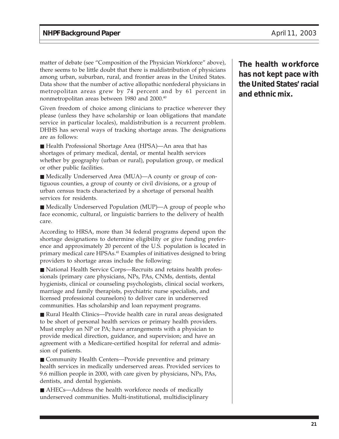matter of debate (see "Composition of the Physician Workforce" above), there seems to be little doubt that there is maldistribution of physicians among urban, suburban, rural, and frontier areas in the United States. Data show that the number of active allopathic nonfederal physicians in metropolitan areas grew by 74 percent and by 61 percent in nonmetropolitan areas between 1980 and 2000.40

Given freedom of choice among clinicians to practice wherever they please (unless they have scholarship or loan obligations that mandate service in particular locales), maldistribution is a recurrent problem. DHHS has several ways of tracking shortage areas. The designations are as follows:

■ Health Professional Shortage Area (HPSA)—An area that has shortages of primary medical, dental, or mental health services whether by geography (urban or rural), population group, or medical or other public facilities.

■ Medically Underserved Area (MUA)—A county or group of contiguous counties, a group of county or civil divisions, or a group of urban census tracts characterized by a shortage of personal health services for residents.

■ Medically Underserved Population (MUP)—A group of people who face economic, cultural, or linguistic barriers to the delivery of health care.

According to HRSA, more than 34 federal programs depend upon the shortage designations to determine eligibility or give funding preference and approximately 20 percent of the U.S. population is located in primary medical care HPSAs.<sup>41</sup> Examples of initiatives designed to bring providers to shortage areas include the following:

■ National Health Service Corps—Recruits and retains health professionals (primary care physicians, NPs, PAs, CNMs, dentists, dental hygienists, clinical or counseling psychologists, clinical social workers, marriage and family therapists, psychiatric nurse specialists, and licensed professional counselors) to deliver care in underserved communities. Has scholarship and loan repayment programs.

■ Rural Health Clinics—Provide health care in rural areas designated to be short of personal health services or primary health providers. Must employ an NP or PA; have arrangements with a physician to provide medical direction, guidance, and supervision; and have an agreement with a Medicare-certified hospital for referral and admission of patients.

■ Community Health Centers—Provide preventive and primary health services in medically underserved areas. Provided services to 9.6 million people in 2000, with care given by physicians, NPs, PAs, dentists, and dental hygienists.

■ AHECs—Address the health workforce needs of medically underserved communities. Multi-institutional, multidisciplinary **The health workforce has not kept pace with the United States' racial and ethnic mix.**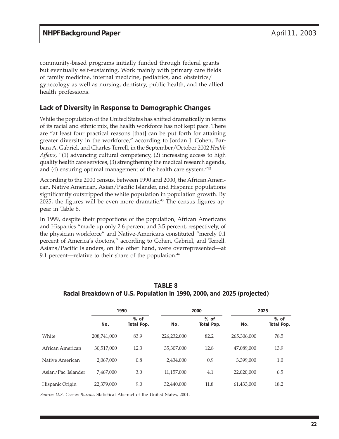community-based programs initially funded through federal grants but eventually self-sustaining. Work mainly with primary care fields of family medicine, internal medicine, pediatrics, and obstetrics/ gynecology as well as nursing, dentistry, public health, and the allied health professions.

# **Lack of Diversity in Response to Demographic Changes**

While the population of the United States has shifted dramatically in terms of its racial and ethnic mix, the health workforce has not kept pace. There are "at least four practical reasons [that] can be put forth for attaining greater diversity in the workforce," according to Jordan J. Cohen, Barbara A. Gabriel, and Charles Terrell, in the September/October 2002 *Health Affairs,* "(1) advancing cultural competency, (2) increasing access to high quality health care services, (3) strengthening the medical research agenda, and (4) ensuring optimal management of the health care system."42

According to the 2000 census, between 1990 and 2000, the African American, Native American, Asian/Pacific Islander, and Hispanic populations significantly outstripped the white population in population growth. By  $2025$ , the figures will be even more dramatic.<sup>43</sup> The census figures appear in Table 8.

In 1999, despite their proportions of the population, African Americans and Hispanics "made up only 2.6 percent and 3.5 percent, respectively, of the physician workforce" and Native-Americans constituted "merely 0.1 percent of America's doctors," according to Cohen, Gabriel, and Terrell. Asians/Pacific Islanders, on the other hand, were overrepresented—at 9.1 percent—relative to their share of the population.<sup>44</sup>

|                     | 1990        |                      | 2000        |                      | 2025        |                      |
|---------------------|-------------|----------------------|-------------|----------------------|-------------|----------------------|
|                     | No.         | $%$ of<br>Total Pop. | No.         | $%$ of<br>Total Pop. | No.         | $%$ of<br>Total Pop. |
| White               | 208,741,000 | 83.9                 | 226,232,000 | 82.2                 | 265,306,000 | 78.5                 |
| African American    | 30,517,000  | 12.3                 | 35,307,000  | 12.8                 | 47,089,000  | 13.9                 |
| Native American     | 2,067,000   | 0.8                  | 2,434,000   | 0.9                  | 3.399.000   | 1.0                  |
| Asian/Pac. Islander | 7,467,000   | 3.0                  | 11,157,000  | 4.1                  | 22,020,000  | 6.5                  |
| Hispanic Origin     | 22,379,000  | 9.0                  | 32,440,000  | 11.8                 | 61,433,000  | 18.2                 |

#### **TABLE 8 Racial Breakdown of U.S. Population in 1990, 2000, and 2025 (projected)**

*Source: U.S. Census Bureau,* Statistical Abstract of the United States, 2001.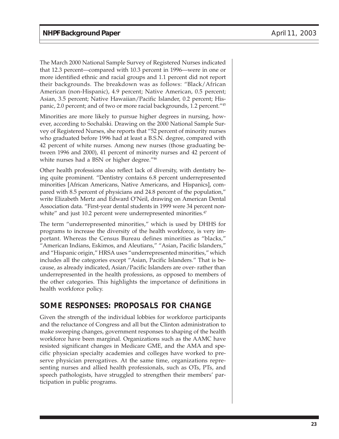The March 2000 National Sample Survey of Registered Nurses indicated that 12.3 percent—compared with 10.3 percent in 1996—were in one or more identified ethnic and racial groups and 1.1 percent did not report their backgrounds. The breakdown was as follows: "Black/African American (non-Hispanic), 4.9 percent; Native American, 0.5 percent; Asian, 3.5 percent; Native Hawaiian/Pacific Islander, 0.2 percent; Hispanic, 2.0 percent; and of two or more racial backgrounds, 1.2 percent."45

Minorities are more likely to pursue higher degrees in nursing, however, according to Sochalski. Drawing on the 2000 National Sample Survey of Registered Nurses, she reports that "52 percent of minority nurses who graduated before 1996 had at least a B.S.N. degree, compared with 42 percent of white nurses. Among new nurses (those graduating between 1996 and 2000), 41 percent of minority nurses and 42 percent of white nurses had a BSN or higher degree."<sup>46</sup>

Other health professions also reflect lack of diversity, with dentistry being quite prominent. "Dentistry contains 6.8 percent underrepresented minorities [African Americans, Native Americans, and Hispanics], compared with 8.5 percent of physicians and 24.8 percent of the population," write Elizabeth Mertz and Edward O'Neil, drawing on American Dental Association data. "First-year dental students in 1999 were 34 percent nonwhite" and just 10.2 percent were underrepresented minorities.<sup>47</sup>

The term "underrepresented minorities," which is used by DHHS for programs to increase the diversity of the health workforce, is very important. Whereas the Census Bureau defines minorities as "blacks," "American Indians, Eskimos, and Aleutians," "Asian, Pacific Islanders," and "Hispanic origin," HRSA uses "underrepresented minorities," which includes all the categories except "Asian, Pacific Islanders." That is because, as already indicated, Asian/Pacific Islanders are over- rather than underrepresented in the health professions, as opposed to members of the other categories. This highlights the importance of definitions in health workforce policy.

# **SOME RESPONSES: PROPOSALS FOR CHANGE**

Given the strength of the individual lobbies for workforce participants and the reluctance of Congress and all but the Clinton administration to make sweeping changes, government responses to shaping of the health workforce have been marginal. Organizations such as the AAMC have resisted significant changes in Medicare GME, and the AMA and specific physician specialty academies and colleges have worked to preserve physician prerogatives. At the same time, organizations representing nurses and allied health professionals, such as OTs, PTs, and speech pathologists, have struggled to strengthen their members' participation in public programs.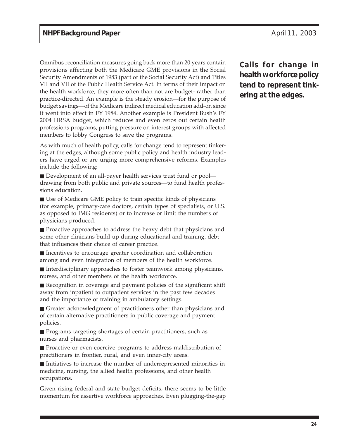Omnibus reconciliation measures going back more than 20 years contain provisions affecting both the Medicare GME provisions in the Social Security Amendments of 1983 (part of the Social Security Act) and Titles VII and VII of the Public Health Service Act. In terms of their impact on the health workforce, they more often than not are budget- rather than practice-directed. An example is the steady erosion—for the purpose of budget savings—of the Medicare indirect medical education add-on since it went into effect in FY 1984. Another example is President Bush's FY 2004 HRSA budget, which reduces and even zeros out certain health professions programs, putting pressure on interest groups with affected members to lobby Congress to save the programs.

As with much of health policy, calls for change tend to represent tinkering at the edges, although some public policy and health industry leaders have urged or are urging more comprehensive reforms. Examples include the following:

■ Development of an all-payer health services trust fund or pool drawing from both public and private sources—to fund health professions education.

■ Use of Medicare GME policy to train specific kinds of physicians (for example, primary-care doctors, certain types of specialists, or U.S. as opposed to IMG residents) or to increase or limit the numbers of physicians produced.

■ Proactive approaches to address the heavy debt that physicians and some other clinicians build up during educational and training, debt that influences their choice of career practice.

■ Incentives to encourage greater coordination and collaboration among and even integration of members of the health workforce.

■ Interdisciplinary approaches to foster teamwork among physicians, nurses, and other members of the health workforce.

■ Recognition in coverage and payment policies of the significant shift away from inpatient to outpatient services in the past few decades and the importance of training in ambulatory settings.

■ Greater acknowledgment of practitioners other than physicians and of certain alternative practitioners in public coverage and payment policies.

■ Programs targeting shortages of certain practitioners, such as nurses and pharmacists.

■ Proactive or even coercive programs to address maldistribution of practitioners in frontier, rural, and even inner-city areas.

■ Initiatives to increase the number of underrepresented minorities in medicine, nursing, the allied health professions, and other health occupations.

Given rising federal and state budget deficits, there seems to be little momentum for assertive workforce approaches. Even plugging-the-gap **Calls for change in health workforce policy tend to represent tinkering at the edges.**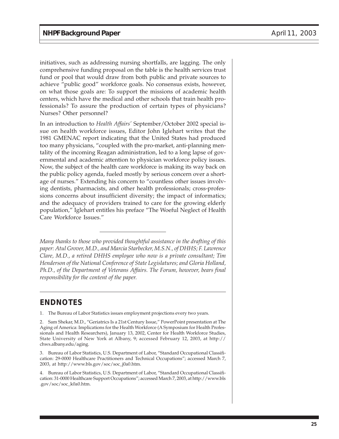initiatives, such as addressing nursing shortfalls, are lagging. The only comprehensive funding proposal on the table is the health services trust fund or pool that would draw from both public and private sources to achieve "public good" workforce goals. No consensus exists, however, on what those goals are: To support the missions of academic health centers, which have the medical and other schools that train health professionals? To assure the production of certain types of physicians? Nurses? Other personnel?

In an introduction to *Health Affairs'* September/October 2002 special issue on health workforce issues, Editor John Iglehart writes that the 1981 GMENAC report indicating that the United States had produced too many physicians, "coupled with the pro-market, anti-planning mentality of the incoming Reagan administration, led to a long lapse of governmental and academic attention to physician workforce policy issues. Now, the subject of the health care workforce is making its way back on the public policy agenda, fueled mostly by serious concern over a shortage of nurses." Extending his concern to "countless other issues involving dentists, pharmacists, and other health professionals; cross-professions concerns about insufficient diversity; the impact of informatics; and the adequacy of providers trained to care for the growing elderly population," Iglehart entitles his preface "The Woeful Neglect of Health Care Workforce Issues."

*Many thanks to those who provided thoughtful assistance in the drafting of this paper: Atul Grover, M.D., and Marcia Starbecker, M.S.N., of DHHS; F. Lawrence Clare, M.D., a retired DHHS employee who now is a private consultant; Tim Henderson of the National Conference of State Legislatures; and Gloria Holland, Ph.D., of the Department of Veterans Affairs. The Forum, however, bears final responsibility for the content of the paper.*

# **ENDNOTES**

1. The Bureau of Labor Statistics issues employment projections every two years.

<sup>2.</sup> Sam Shekar, M.D., "Geriatrics Is a 21st Century Issue," PowerPoint presentation at The Aging of America: Implications for the Health Workforce (A Symposium for Health Professionals and Health Researchers), January 13, 2002, Center for Health Workforce Studies, State University of New York at Albany, 9; accessed February 12, 2003, at http:// chws.albany.edu/aging.

<sup>3.</sup> Bureau of Labor Statistics, U.S. Department of Labor, "Standard Occupational Classification: 29-0000 Healthcare Practitioners and Technical Occupations"; accessed March 7, 2003, at http://www.bls.gov/soc/soc\_j0a0.htm.

<sup>4.</sup> Bureau of Labor Statistics, U.S. Department of Labor, "Standard Occupational Classification: 31-0000 Healthcare Support Occupations"; accessed March 7, 2003, at http://www.bls .gov/soc/soc\_k0a0.htm.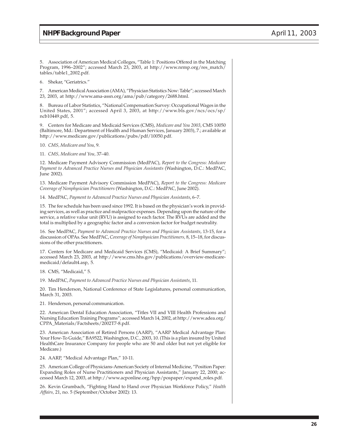5. Association of American Medical Colleges, "Table 1: Positions Offered in the Matching Program, 1996–2002"; accessed March 23, 2003, at http://www.nrmp.org/res\_match/ tables/table1\_2002.pdf.

6. Shekar, "Geriatrics."

7. American Medical Association (AMA), "Physician Statistics Now: Table"; accessed March 23, 2003, at http://www.ama-assn.org/ama/pub/category/2688.html.

8. Bureau of Labor Statistics, "National Compensation Survey: Occupational Wages in the United States, 2001"; accessed April 3, 2003, at http://www.bls.gov/ncs/ocs/sp/ ncb10449.pdf, 5.

9. Centers for Medicare and Medicaid Services (CMS), *Medicare and You 2003*, CMS 10050 (Baltimore, Md.: Department of Health and Human Services, January 2003), 7.; available at http://www.medicare.gov/publications/pubs/pdf/10050.pdf.

10. *CMS, Medicare and You,* 9.

11. *CMS, Medicare and You,* 37–40.

12. Medicare Payment Advisory Commission (MedPAC), *Report to the Congress: Medicare Payment to Advanced Practice Nurses and Physician Assistants* (Washington, D.C.: MedPAC, June 2002).

13. Medicare Payment Advisory Commission MedPAC), *Report to the Congress: Medicare Coverage of Nonphysician Practitioners* (Washington, D.C.: MedPAC, June 2002).

14. MedPAC, *Payment to Advanced Practice Nurses and Physician Assistants*, 6–7.

15. The fee schedule has been used since 1992. It is based on the physician's work in providing services, as well as practice and malpractice expenses. Depending upon the nature of the service, a relative value unit (RVU) is assigned to each factor. The RVUs are added and the total is multiplied by a geographic factor and a conversion factor for budget neutrality.

16. See MedPAC, *Payment to Advanced Practice Nurses and Physician Assistants*, 13-15, for a discussion of OPAs. See MedPAC, *Coverage of Nonphysician Practitioners,* 8, 15–18, for discussions of the other practitioners.

17. Centers for Medicare and Medicaid Services (CMS), "Medicaid: A Brief Summary"; accessed March 23, 2003, at http://www.cms.hhs.gov/publications/overview-medicaremedicaid/default4.asp, 5.

18. CMS, "Medicaid," 5.

19. MedPAC, *Payment to Advanced Practice Nurses and Physician Assistants*, 11.

20. Tim Henderson, National Conference of State Legislatures, personal communication, March 31, 2003.

21. Henderson, personal communication.

22. American Dental Education Association, "Titles VII and VIII Health Professions and Nursing Education Training Programs"; accessed March 14, 2002, at http://www.adea.org/ CPPA\_Materials/Factsheets/2002T7-8.pdf.

23. American Association of Retired Persons (AARP), "AARP Medical Advantage Plan: Your How-To Guide," BA9522, Washington, D.C., 2003, 10. (This is a plan insured by United HealthCare Insurance Company for people who are 50 and older but not yet eligible for Medicare.)

24. AARP, "Medical Advantage Plan," 10-11.

25. American College of Physicians-American Society of Internal Medicine, "Position Paper: Expanding Roles of Nurse Practitioners and Physician Assistants," January 22, 2000; accessed March 12, 2003, at http://www.acponline.org/hpp/pospaper/expand\_roles.pdf.

26. Kevin Grumbach, "Fighting Hand to Hand over Physician Workforce Policy," *Health Affairs,* 21, no. 5 (September/October 2002): 13.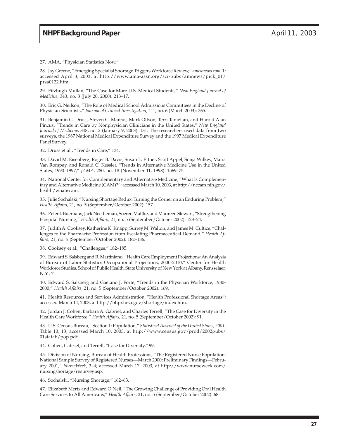27. AMA, "Physician Statistics Now."

28. Jay Greene, "Emerging Specialist Shortage Triggers Workforce Review," *amednews.com,* 1; accessed April 3, 2003, at http://www.ama-assn.org/sci-pubs/amnews/pick\_01/ prsa0122.htm.

29. Fitzhugh Mullan, "The Case for More U.S. Medical Students," *New England Journal of Medicine,* 343, no. 3 (July 20, 2000): 213–17.

30. Eric G. Neilson, "The Role of Medical School Admissions Committees in the Decline of Physician-Scientists," *Journal of Clinical Investigation,* 111, no. 6 (March 2003): 765.

31. Benjamin G. Druss, Steven C. Marcus, Mark Olfson, Terri Tanielian, and Harold Alan Pincus, "Trends in Care by Nonphysician Clinicians in the United States," *New England Journal of Medicine,* 348, no. 2 (January 9, 2003): 131. The researchers used data from two surveys, the 1987 National Medical Expenditure Survey and the 1997 Medical Expenditure Panel Survey.

32. Druss et al., "Trends in Care," 134.

33. David M. Eisenberg, Roger B. Davis, Susan L. Ettner, Scott Appel, Sonja Wilkey, Maria Van Rompay, and Ronald C. Kessler, "Trends in Alternative Medicine Use in the United States, 1990–1997," *JAMA,* 280, no. 18 (November 11, 1998): 1569–75.

34. National Center for Complementary and Alternative Medicine, "What Is Complementary and Alternative Medicine (CAM)?"; accessed March 10, 2003, at http://nccam.nih.gov/ health/whatiscam.

35. Julie Sochalski, "Nursing Shortage Redux: Turning the Corner on an Enduring Problem," *Health Affairs,* 21, no. 5 (September/October 2002): 157.

36. Peter I. Buerhaus, Jack Needleman, Soeren Mattke, and Maureen Stewart, "Strengthening Hospital Nursing," *Health Affairs,* 21, no. 5 (September/October 2002): 123–24.

37. Judith A. Cooksey, Katherine K. Knapp, Surrey M. Walton, and James M. Cultice, "Challenges to the Pharmacist Profession from Escalating Pharmaceutical Demand," *Health Affairs,* 21, no. 5 (September/October 2002): 182–186.

38. Cooksey et al., "Challenges," 182–185.

39. Edward S. Salsberg and R. Martiniano, "Health Care Employment Projections: An Analysis of Bureau of Labor Statistics Occupational Projections, 2000-2010," Center for Health Workforce Studies, School of Public Health, State University of New York at Albany, Rensselaer, N.Y., 7.

40. Edward S. Salsberg and Gaetano J. Forte, "Trends in the Physician Workforce, 1980- 2000," *Health Affairs,* 21, no. 5 (September/October 2002): 169.

41. Health Resources and Services Administration, "Health Professional Shortage Areas"; accessed March 14, 2003, at http://bhpr.hrsa.gov/shortage/index.htm.

42. Jordan J. Cohen, Barbara A. Gabriel, and Charles Terrell, "The Case for Diversity in the Health Care Workforce," *Health Affairs,* 21, no. 5 (September/October 2002): 91.

43. U.S. Census Bureau, "Section 1: Population," *Statistical Abstract of the United States, 2001,* Table 10, 13; accessed March 10, 2003, at http://www.census.gov/prod/2002pubs/ 01statab/pop.pdf.

44. Cohen, Gabriel, and Terrell, "Case for Diversity," 99.

45. Division of Nursing, Bureau of Health Professions, "The Registered Nurse Population: National Sample Survey of Registered Nurses—March 2000; Preliminary Findings—February 2001," *NurseWeek,* 3–4; accessed March 17, 2003, at http://www.nurseweek.com/ nursingshortage/rnsurvey.asp.

46. Sochalski, "Nursing Shortage," 162–63.

47. Elizabeth Mertz and Edward O'Neil, "The Growing Challenge of Providing Oral Health Care Services to All Americans," *Health Affairs,* 21, no. 5 (September/October 2002): 68.